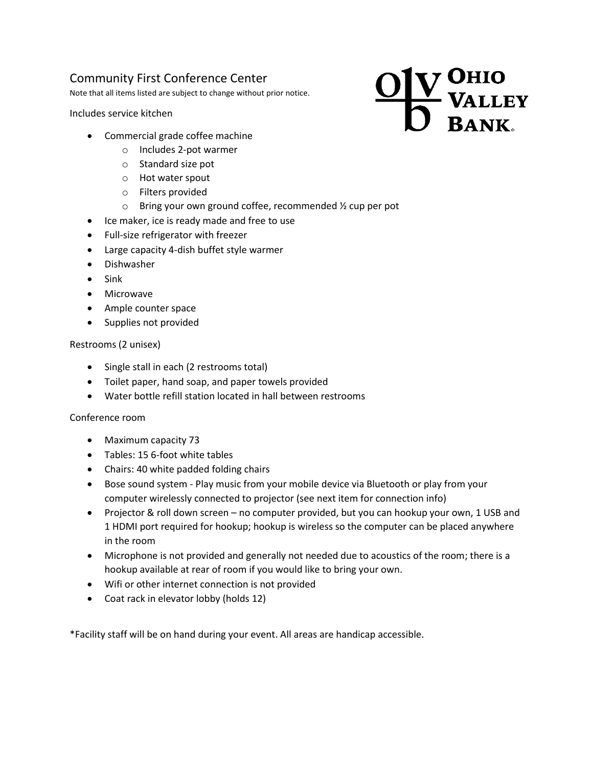# Community First Conference Center

Note that all items listed are subject to change without prior notice.

Includes service kitchen

- Commercial grade coffee machine
	- o Includes 2-pot warmer
	- o Standard size pot
	- o Hot water spout
	- o Filters provided
	- o Bring your own ground coffee, recommended ½ cup per pot
- Ice maker, ice is ready made and free to use
- Full-size refrigerator with freezer
- Large capacity 4-dish buffet style warmer
- Dishwasher
- $\bullet$  Sink
- Microwave
- Ample counter space
- Supplies not provided

## Restrooms (2 unisex)

- Single stall in each (2 restrooms total)
- Toilet paper, hand soap, and paper towels provided
- Water bottle refill station located in hall between restrooms

## Conference room

- Maximum capacity 73
- Tables: 15 6-foot white tables
- Chairs: 40 white padded folding chairs
- Bose sound system Play music from your mobile device via Bluetooth or play from your computer wirelessly connected to projector (see next item for connection info)
- Projector & roll down screen no computer provided, but you can hookup your own, 1 USB and 1 HDMI port required for hookup; hookup is wireless so the computer can be placed anywhere in the room
- Microphone is not provided and generally not needed due to acoustics of the room; there is a hookup available at rear of room if you would like to bring your own.
- Wifi or other internet connection is not provided
- Coat rack in elevator lobby (holds 12)

\*Facility staff will be on hand during your event. All areas are handicap accessible.

# **7 OHIO<br>- VALLEY<br>BANK.**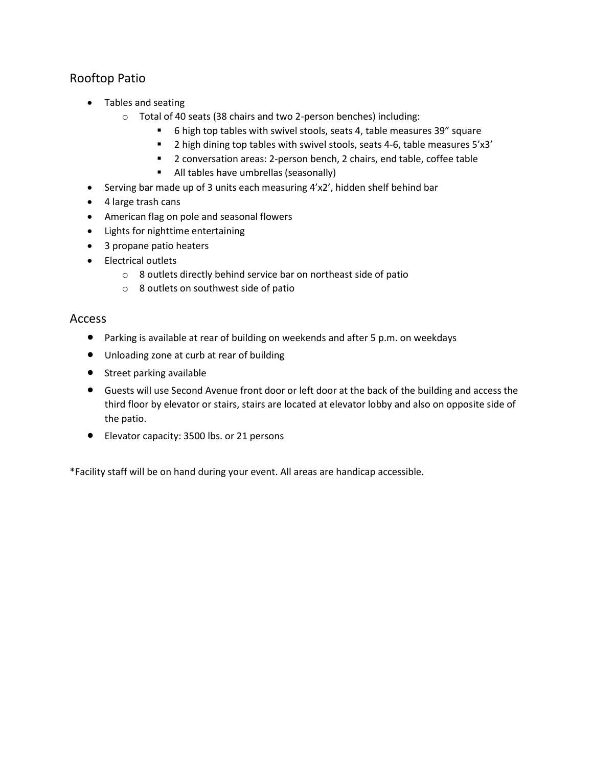# Rooftop Patio

- Tables and seating
	- o Total of 40 seats (38 chairs and two 2-person benches) including:
		- 6 high top tables with swivel stools, seats 4, table measures 39" square
		- <sup>2</sup> 1 a high dining top tables with swivel stools, seats 4-6, table measures 5'x3'
		- 2 conversation areas: 2-person bench, 2 chairs, end table, coffee table
		- All tables have umbrellas (seasonally)
- Serving bar made up of 3 units each measuring 4'x2', hidden shelf behind bar
- 4 large trash cans
- American flag on pole and seasonal flowers
- Lights for nighttime entertaining
- 3 propane patio heaters
- Electrical outlets
	- o 8 outlets directly behind service bar on northeast side of patio
	- o 8 outlets on southwest side of patio

## Access

- Parking is available at rear of building on weekends and after 5 p.m. on weekdays
- Unloading zone at curb at rear of building
- **•** Street parking available
- Guests will use Second Avenue front door or left door at the back of the building and access the third floor by elevator or stairs, stairs are located at elevator lobby and also on opposite side of the patio.
- Elevator capacity: 3500 lbs. or 21 persons

\*Facility staff will be on hand during your event. All areas are handicap accessible.